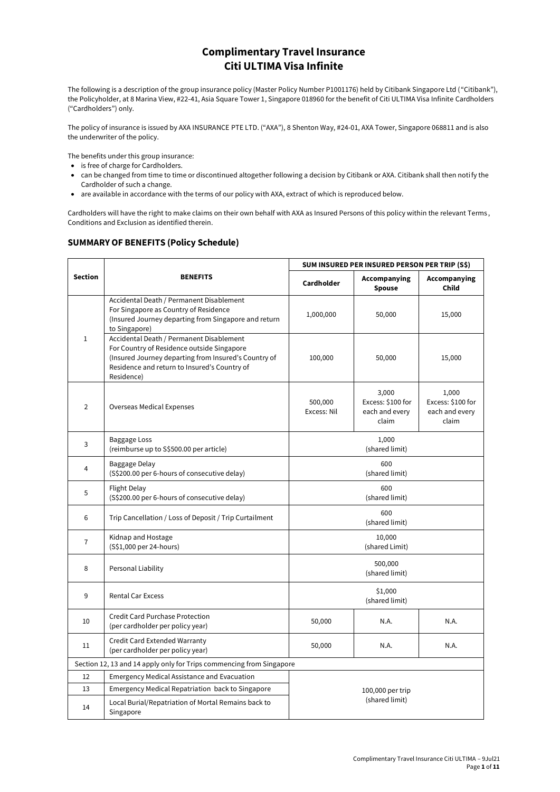# **Complimentary Travel Insurance Citi ULTIMA Visa Infinite**

The following is a description of the group insurance policy (Master Policy Number P1001176) held by Citibank Singapore Ltd ("Citibank"), the Policyholder, at 8 Marina View, #22-41, Asia Square Tower 1, Singapore 018960 for the benefit of Citi ULTIMA Visa Infinite Cardholders ("Cardholders") only.

The policy of insurance is issued by AXA INSURANCE PTE LTD. ("AXA"), 8 Shenton Way, #24-01, AXA Tower, Singapore 068811 and is also the underwriter of the policy.

The benefits under this group insurance:

- is free of charge for Cardholders.
- can be changed from time to time or discontinued altogether following a decision by Citibank or AXA. Citibank shall then notify the Cardholder of such a change.
- are available in accordance with the terms of our policy with AXA, extract of which is reproduced below.

Cardholders will have the right to make claims on their own behalf with AXA as Insured Persons of this policy within the relevant Terms , Conditions and Exclusion as identified therein.

## **SUMMARY OF BENEFITS (Policy Schedule)**

|                                                                      |                                                                                                                                                                                                              | SUM INSURED PER INSURED PERSON PER TRIP (S\$) |                                                       |                                                       |
|----------------------------------------------------------------------|--------------------------------------------------------------------------------------------------------------------------------------------------------------------------------------------------------------|-----------------------------------------------|-------------------------------------------------------|-------------------------------------------------------|
| <b>Section</b>                                                       | <b>BENEFITS</b>                                                                                                                                                                                              | Cardholder                                    | Accompanying<br><b>Spouse</b>                         | Accompanying<br><b>Child</b>                          |
|                                                                      | Accidental Death / Permanent Disablement<br>For Singapore as Country of Residence<br>(Insured Journey departing from Singapore and return<br>to Singapore)                                                   | 1,000,000                                     | 50,000                                                | 15,000                                                |
| $\mathbf{1}$                                                         | Accidental Death / Permanent Disablement<br>For Country of Residence outside Singapore<br>(Insured Journey departing from Insured's Country of<br>Residence and return to Insured's Country of<br>Residence) | 100,000                                       | 50,000                                                | 15,000                                                |
| $\overline{2}$                                                       | Overseas Medical Expenses                                                                                                                                                                                    | 500,000<br>Excess: Nil                        | 3,000<br>Excess: \$100 for<br>each and every<br>claim | 1,000<br>Excess: \$100 for<br>each and every<br>claim |
| 3                                                                    | <b>Baggage Loss</b><br>(reimburse up to S\$500.00 per article)                                                                                                                                               |                                               | 1,000<br>(shared limit)                               |                                                       |
| 4                                                                    | Baggage Delay<br>(S\$200.00 per 6-hours of consecutive delay)                                                                                                                                                |                                               | 600<br>(shared limit)                                 |                                                       |
| 5                                                                    | <b>Flight Delay</b><br>(S\$200.00 per 6-hours of consecutive delay)                                                                                                                                          |                                               | 600<br>(shared limit)                                 |                                                       |
| 6                                                                    | Trip Cancellation / Loss of Deposit / Trip Curtailment                                                                                                                                                       |                                               | 600<br>(shared limit)                                 |                                                       |
| $\overline{7}$                                                       | Kidnap and Hostage<br>(S\$1,000 per 24-hours)                                                                                                                                                                |                                               | 10,000<br>(shared Limit)                              |                                                       |
| 8                                                                    | Personal Liability                                                                                                                                                                                           |                                               | 500,000<br>(shared limit)                             |                                                       |
| 9                                                                    | Rental Car Excess                                                                                                                                                                                            |                                               | \$1,000<br>(shared limit)                             |                                                       |
| 10                                                                   | <b>Credit Card Purchase Protection</b><br>(per cardholder per policy year)                                                                                                                                   | 50,000                                        | N.A.                                                  | N.A.                                                  |
| 11                                                                   | Credit Card Extended Warranty<br>(per cardholder per policy year)                                                                                                                                            | 50,000                                        | N.A.                                                  | N.A.                                                  |
| Section 12, 13 and 14 apply only for Trips commencing from Singapore |                                                                                                                                                                                                              |                                               |                                                       |                                                       |
| 12                                                                   | <b>Emergency Medical Assistance and Evacuation</b>                                                                                                                                                           |                                               |                                                       |                                                       |
| 13                                                                   | Emergency Medical Repatriation back to Singapore                                                                                                                                                             | 100,000 per trip                              |                                                       |                                                       |
| 14                                                                   | Local Burial/Repatriation of Mortal Remains back to<br>Singapore                                                                                                                                             |                                               | (shared limit)                                        |                                                       |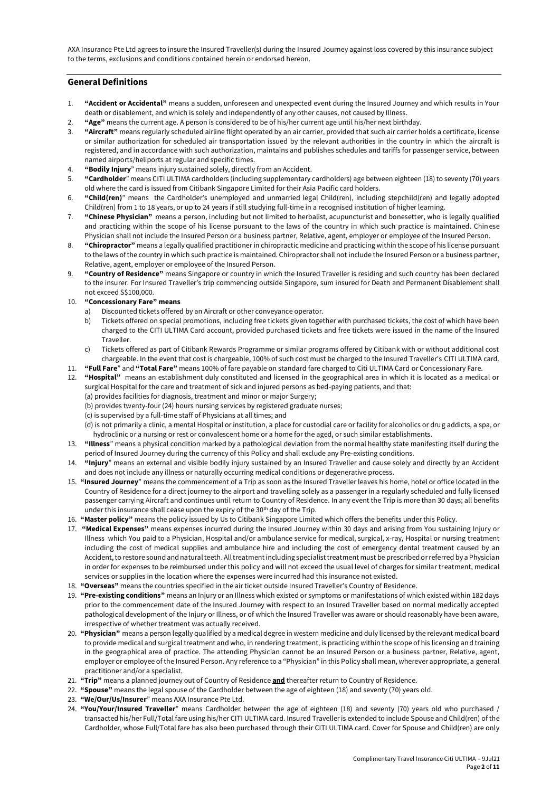AXA Insurance Pte Ltd agrees to insure the Insured Traveller(s) during the Insured Journey against loss covered by this insurance subject to the terms, exclusions and conditions contained herein or endorsed hereon.

## **General Definitions**

- 1. **"Accident or Accidental"** means a sudden, unforeseen and unexpected event during the Insured Journey and which results in Your death or disablement, and which is solely and independently of any other causes, not caused by Illness.
- 2. **"Age"** means the current age. A person is considered to be of his/her current age until his/her next birthday.
- 3. **"Aircraft"** means regularly scheduled airline flight operated by an air carrier, provided that such air carrier holds a certificate, license or similar authorization for scheduled air transportation issued by the relevant authorities in the country in which the aircraft is registered, and in accordance with such authorization, maintains and publishes schedules and tariffs for passenger service, between named airports/heliports at regular and specific times.
- 4. **"Bodily Injury**" means injury sustained solely, directly from an Accident.
- 5. **"Cardholder**" means CITI ULTIMA cardholders (including supplementary cardholders) age between eighteen (18) to seventy (70) years old where the card is issued from Citibank Singapore Limited for their Asia Pacific card holders.
- 6. **"Child(ren)**" means the Cardholder's unemployed and unmarried legal Child(ren), including stepchild(ren) and legally adopted Child(ren) from 1 to 18 years, or up to 24 years if still studying full-time in a recognised institution of higher learning.
- 7. **"Chinese Physician"** means a person, including but not limited to herbalist, acupuncturist and bonesetter, who is legally qualified and practicing within the scope of his license pursuant to the laws of the country in which such practice is maintained. Chinese Physician shall not include the Insured Person or a business partner, Relative, agent, employer or employee of the Insured Person.
- 8. **"Chiropractor"** means a legally qualified practitioner in chiropractic medicine and practicing within the scope of his license pursuant to the laws of the country in which such practice is maintained. Chiropractor shall not include the Insured Person or a business partner, Relative, agent, employer or employee of the Insured Person.
- 9. **"Country of Residence"** means Singapore or country in which the Insured Traveller is residing and such country has been declared to the insurer. For Insured Traveller's trip commencing outside Singapore, sum insured for Death and Permanent Disablement shall not exceed S\$100,000.

## 10. **"Concessionary Fare" means**

- a) Discounted tickets offered by an Aircraft or other conveyance operator.
- b) Tickets offered on special promotions, including free tickets given together with purchased tickets, the cost of which have been charged to the CITI ULTIMA Card account, provided purchased tickets and free tickets were issued in the name of the Insured Traveller.
- c) Tickets offered as part of Citibank Rewards Programme or similar programs offered by Citibank with or without additional cost chargeable. In the event that cost is chargeable, 100% of such cost must be charged to the Insured Traveller's CITI ULTIMA card.
- 11. **"Full Fare**" and **"Total Fare"** means 100% of fare payable on standard fare charged to Citi ULTIMA Card or Concessionary Fare.
- 12. **"Hospital"** means an establishment duly constituted and licensed in the geographical area in which it is located as a medical or surgical Hospital for the care and treatment of sick and injured persons as bed-paying patients, and that:
	- (a) provides facilities for diagnosis, treatment and minor or major Surgery;
	- (b) provides twenty-four (24) hours nursing services by registered graduate nurses;
	- (c) is supervised by a full-time staff of Physicians at all times; and
	- (d) is not primarily a clinic, a mental Hospital or institution, a place for custodial care or facility for alcoholics or drug addicts, a spa, or hydroclinic or a nursing or rest or convalescent home or a home for the aged, or such similar establishments.
- 13. **"Illness**" means a physical condition marked by a pathological deviation from the normal healthy state manifesting itself during the period of Insured Journey during the currency of this Policy and shall exclude any Pre-existing conditions.
- 14. **"Injury**" means an external and visible bodily injury sustained by an Insured Traveller and cause solely and directly by an Accident and does not include any illness or naturally occurring medical conditions or degenerative process.
- 15. **"Insured Journey**" means the commencement of a Trip as soon as the Insured Traveller leaves his home, hotel or office located in the Country of Residence for a direct journey to the airport and travelling solely as a passenger in a regularly scheduled and fully licensed passenger carrying Aircraft and continues until return to Country of Residence. In any event the Trip is more than 30 days; all benefits under this insurance shall cease upon the expiry of the 30<sup>th</sup> day of the Trip.
- 16. **"Master policy"** means the policy issued by Us to Citibank Singapore Limited which offers the benefits under this Policy.
- 17. **"Medical Expenses"** means expenses incurred during the Insured Journey within 30 days and arising from You sustaining Injury or Illness which You paid to a Physician, Hospital and/or ambulance service for medical, surgical, x-ray, Hospital or nursing treatment including the cost of medical supplies and ambulance hire and including the cost of emergency dental treatment caused by an Accident, to restore sound and natural teeth. All treatment including specialist treatment must be prescribed or referred by a Physician in order for expenses to be reimbursed under this policy and will not exceed the usual level of charges for similar treatment, medical services or supplies in the location where the expenses were incurred had this insurance not existed.
- 18. **"Overseas"** means the countries specified in the air ticket outside Insured Traveller's Country of Residence.
- 19. **"Pre-existing conditions"** means an Injury or an Illness which existed or symptoms or manifestations of which existed within 182 days prior to the commencement date of the Insured Journey with respect to an Insured Traveller based on normal medically accepted pathological development of the Injury or Illness, or of which the Insured Traveller was aware or should reasonably have been aware, irrespective of whether treatment was actually received.
- 20. **"Physician"** means a person legally qualified by a medical degree in western medicine and duly licensed by the relevant medical board to provide medical and surgical treatment and who, in rendering treatment, is practicing within the scope of his licensing and training in the geographical area of practice. The attending Physician cannot be an Insured Person or a business partner, Relative, agent, employer or employee of the Insured Person. Any reference to a "Physician" in this Policy shall mean, wherever appropriate, a general practitioner and/or a specialist.
- 21. **"Trip"** means a planned journey out of Country of Residence **and** thereafter return to Country of Residence.
- 22. **"Spouse"** means the legal spouse of the Cardholder between the age of eighteen (18) and seventy (70) years old.
- 23. **"We/Our/Us/Insurer**" means AXA Insurance Pte Ltd.
- 24. **"You/Your/Insured Traveller**" means Cardholder between the age of eighteen (18) and seventy (70) years old who purchased / transacted his/her Full/Total fare using his/her CITI ULTIMA card. Insured Traveller is extended to include Spouse and Child(ren) of the Cardholder, whose Full/Total fare has also been purchased through their CITI ULTIMA card. Cover for Spouse and Child(ren) are only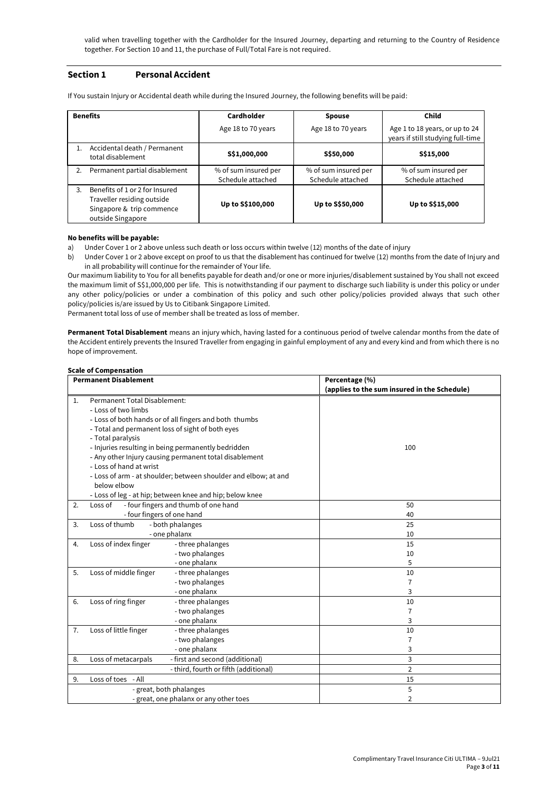valid when travelling together with the Cardholder for the Insured Journey, departing and returning to the Country of Residence together. For Section 10 and 11, the purchase of Full/Total Fare is not required.

## **Section 1 Personal Accident**

| <b>Benefits</b> |                                                                                                                | Cardholder                                | <b>Spouse</b>                             | Child                                                               |
|-----------------|----------------------------------------------------------------------------------------------------------------|-------------------------------------------|-------------------------------------------|---------------------------------------------------------------------|
|                 |                                                                                                                | Age 18 to 70 years                        | Age 18 to 70 years                        | Age 1 to 18 years, or up to 24<br>years if still studying full-time |
|                 | Accidental death / Permanent<br>total disablement                                                              | S\$1,000,000                              | S\$50,000                                 | S\$15,000                                                           |
| 2.              | Permanent partial disablement                                                                                  | % of sum insured per<br>Schedule attached | % of sum insured per<br>Schedule attached | % of sum insured per<br>Schedule attached                           |
| २               | Benefits of 1 or 2 for Insured<br>Traveller residing outside<br>Singapore & trip commence<br>outside Singapore | Up to S\$100,000                          | Up to S\$50,000                           | Up to S\$15,000                                                     |

If You sustain Injury or Accidental death while during the Insured Journey, the following benefits will be paid:

### **No benefits will be payable:**

- a) Under Cover 1 or 2 above unless such death or loss occurs within twelve (12) months of the date of injury
- b) Under Cover 1 or 2 above except on proof to us that the disablement has continued for twelve (12) months from the date of Injury and in all probability will continue for the remainder of Your life.

Our maximum liability to You for all benefits payable for death and/or one or more injuries/disablement sustained by You shall not exceed the maximum limit of S\$1,000,000 per life. This is notwithstanding if our payment to discharge such liability is under this policy or under any other policy/policies or under a combination of this policy and such other policy/policies provided always that such other policy/policies is/are issued by Us to Citibank Singapore Limited.

Permanent total loss of use of member shall be treated as loss of member.

**Permanent Total Disablement** means an injury which, having lasted for a continuous period of twelve calendar months from the date of the Accident entirely prevents the Insured Traveller from engaging in gainful employment of any and every kind and from which there is no hope of improvement.

#### **Scale of Compensation**

|                | <b>Permanent Disablement</b>                                    | Percentage (%)                               |  |
|----------------|-----------------------------------------------------------------|----------------------------------------------|--|
|                |                                                                 | (applies to the sum insured in the Schedule) |  |
| $\mathbf{1}$ . | Permanent Total Disablement:                                    |                                              |  |
|                | - Loss of two limbs                                             |                                              |  |
|                | - Loss of both hands or of all fingers and both thumbs          |                                              |  |
|                | - Total and permanent loss of sight of both eyes                |                                              |  |
|                | - Total paralysis                                               |                                              |  |
|                | - Injuries resulting in being permanently bedridden             | 100                                          |  |
|                | - Any other Injury causing permanent total disablement          |                                              |  |
|                | - Loss of hand at wrist                                         |                                              |  |
|                | - Loss of arm - at shoulder; between shoulder and elbow; at and |                                              |  |
|                | below elbow                                                     |                                              |  |
|                | - Loss of leg - at hip; between knee and hip; below knee        |                                              |  |
| 2.             | - four fingers and thumb of one hand<br>Loss of                 | 50                                           |  |
|                | - four fingers of one hand                                      | 40                                           |  |
| 3.             | Loss of thumb<br>- both phalanges                               | 25                                           |  |
|                | - one phalanx                                                   | 10                                           |  |
| 4.             | Loss of index finger<br>- three phalanges                       | 15                                           |  |
|                | - two phalanges                                                 | 10                                           |  |
|                | - one phalanx                                                   | 5                                            |  |
| 5.             | Loss of middle finger<br>- three phalanges                      | 10                                           |  |
|                | - two phalanges                                                 | 7                                            |  |
|                | - one phalanx                                                   | 3                                            |  |
| 6.             | Loss of ring finger<br>- three phalanges                        | 10                                           |  |
|                | - two phalanges                                                 | 7                                            |  |
|                | - one phalanx                                                   | 3                                            |  |
| 7.             | Loss of little finger<br>- three phalanges                      | 10                                           |  |
|                | - two phalanges                                                 | 7                                            |  |
|                | - one phalanx                                                   | 3                                            |  |
| 8.             | - first and second (additional)<br>Loss of metacarpals          | 3                                            |  |
|                | - third, fourth or fifth (additional)                           | $\overline{2}$                               |  |
| 9.             | Loss of toes - All                                              | 15                                           |  |
|                | - great, both phalanges                                         | 5                                            |  |
|                | - great, one phalanx or any other toes                          | $\overline{2}$                               |  |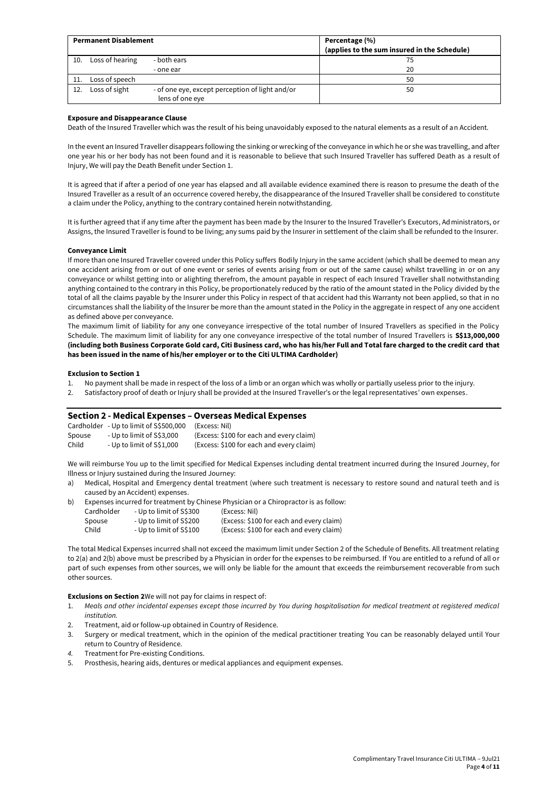| <b>Permanent Disablement</b> |                 |                                                                    | Percentage (%)<br>(applies to the sum insured in the Schedule) |
|------------------------------|-----------------|--------------------------------------------------------------------|----------------------------------------------------------------|
| 10.                          | Loss of hearing | - both ears<br>- one ear                                           | 20                                                             |
| 11.                          | Loss of speech  |                                                                    | 50                                                             |
| 12.                          | Loss of sight   | - of one eye, except perception of light and/or<br>lens of one eye | 50                                                             |

#### **Exposure and Disappearance Clause**

Death of the Insured Traveller which was the result of his being unavoidably exposed to the natural elements as a result of an Accident.

In the event an Insured Traveller disappears following the sinking or wrecking of the conveyance in which he or she was travelling, and after one year his or her body has not been found and it is reasonable to believe that such Insured Traveller has suffered Death as a result of Injury, We will pay the Death Benefit under Section 1.

It is agreed that if after a period of one year has elapsed and all available evidence examined there is reason to presume the death of the Insured Traveller as a result of an occurrence covered hereby, the disappearance of the Insured Traveller shall be considered to constitute a claim under the Policy, anything to the contrary contained herein notwithstanding.

It is further agreed that if any time after the payment has been made by the Insurer to the Insured Traveller's Executors, Administrators, or Assigns, the Insured Traveller is found to be living; any sums paid by the Insurer in settlement of the claim shall be refunded to the Insurer.

#### **Conveyance Limit**

If more than one Insured Traveller covered under this Policy suffers Bodily Injury in the same accident (which shall be deemed to mean any one accident arising from or out of one event or series of events arising from or out of the same cause) whilst travelling in or on any conveyance or whilst getting into or alighting therefrom, the amount payable in respect of each Insured Traveller shall notwithstanding anything contained to the contrary in this Policy, be proportionately reduced by the ratio of the amount stated in the Policy divided by the total of all the claims payable by the Insurer under this Policy in respect of that accident had this Warranty not been applied, so that in no circumstances shall the liability of the Insurer be more than the amount stated in the Policy in the aggregate in respect of any one accident as defined above per conveyance.

The maximum limit of liability for any one conveyance irrespective of the total number of Insured Travellers as specified in the Policy Schedule. The maximum limit of liability for any one conveyance irrespective of the total number of Insured Travellers is **S\$13,000,000 (including both Business Corporate Gold card, Citi Business card, who has his/her Full and Total fare charged to the credit card that has been issued in the name of his/her employer or to the Citi ULTIMA Cardholder)**

#### **Exclusion to Section 1**

- 1. No payment shall be made in respect of the loss of a limb or an organ which was wholly or partially useless prior to the injury.
- 2. Satisfactory proof of death or Injury shall be provided at the Insured Traveller's or the legal representatives' own expenses .

## **Section 2 - Medical Expenses – Overseas Medical Expenses**

|        | Cardholder - Up to limit of S\$500,000 | (Excess: Nil)                            |
|--------|----------------------------------------|------------------------------------------|
| Spouse | - Up to limit of S\$3.000              | (Excess: \$100 for each and every claim) |
| Child  | - Up to limit of S\$1.000              | (Excess: \$100 for each and every claim) |

We will reimburse You up to the limit specified for Medical Expenses including dental treatment incurred during the Insured Journey, for Illness or Injury sustained during the Insured Journey:

- a) Medical, Hospital and Emergency dental treatment (where such treatment is necessary to restore sound and natural teeth and is caused by an Accident) expenses.
- b) Expenses incurred for treatment by Chinese Physician or a Chiropractor is as follow:

| Cardholder | (Excess: Nil)                                                                 |
|------------|-------------------------------------------------------------------------------|
| Spouse     | (Excess: \$100 for each and every claim)                                      |
| Child      | (Excess: \$100 for each and every claim)                                      |
|            | - Up to limit of S\$300<br>- Up to limit of S\$200<br>- Up to limit of S\$100 |

The total Medical Expenses incurred shall not exceed the maximum limit under Section 2 of the Schedule of Benefits. All treatment relating to 2(a) and 2(b) above must be prescribed by a Physician in order for the expenses to be reimbursed. If You are entitled to a refund of all or part of such expenses from other sources, we will only be liable for the amount that exceeds the reimbursement recoverable from such other sources.

**Exclusions on Section 2**We will not pay for claims in respect of:

- 1. *Meals and other incidental expenses except those incurred by You during hospitalisation for medical treatment at registered medical institution.*
- 2. Treatment, aid or follow-up obtained in Country of Residence.
- 3. Surgery or medical treatment, which in the opinion of the medical practitioner treating You can be reasonably delayed until Your return to Country of Residence.
- *4.* Treatment for Pre-existing Conditions.
- 5. Prosthesis, hearing aids, dentures or medical appliances and equipment expenses.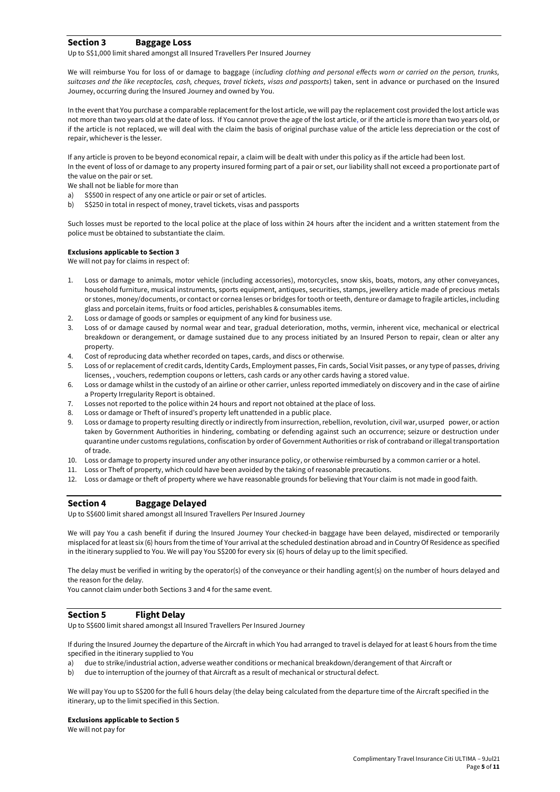## **Section 3 Baggage Loss**

Up to S\$1,000 limit shared amongst all Insured Travellers Per Insured Journey

We will reimburse You for loss of or damage to baggage (*including clothing and personal effects worn or carried on the person, trunks, suitcases and the like receptacles, cash, cheques, travel tickets, visas and passports*) taken, sent in advance or purchased on the Insured Journey, occurring during the Insured Journey and owned by You.

In the event that You purchase a comparable replacement for the lost article, we will pay the replacement cost provided the lost article was not more than two years old at the date of loss. If You cannot prove the age of the lost article, or if the article is more than two years old, or if the article is not replaced, we will deal with the claim the basis of original purchase value of the article less depreciation or the cost of repair, whichever is the lesser.

If any article is proven to be beyond economical repair, a claim will be dealt with under this policy as if the article had been lost. In the event of loss of or damage to any property insured forming part of a pair or set, our liability shall not exceed a proportionate part of the value on the pair or set.

We shall not be liable for more than

- a) S\$500 in respect of any one article or pair or set of articles.
- b) S\$250 in total in respect of money, travel tickets, visas and passports

Such losses must be reported to the local police at the place of loss within 24 hours after the incident and a written statement from the police must be obtained to substantiate the claim.

### **Exclusions applicable to Section 3**

We will not pay for claims in respect of:

- 1. Loss or damage to animals, motor vehicle (including accessories), motorcycles, snow skis, boats, motors, any other conveyances, household furniture, musical instruments, sports equipment, antiques, securities, stamps, jewellery article made of precious metals or stones, money/documents, or contact or cornea lenses or bridges for tooth or teeth, denture or damage to fragile articles, including glass and porcelain items, fruits or food articles, perishables & consumables items.
- 2. Loss or damage of goods or samples or equipment of any kind for business use.
- 3. Loss of or damage caused by normal wear and tear, gradual deterioration, moths, vermin, inherent vice, mechanical or electrical breakdown or derangement, or damage sustained due to any process initiated by an Insured Person to repair, clean or alter any property.
- 4. Cost of reproducing data whether recorded on tapes, cards, and discs or otherwise.
- 5. Loss of or replacement of credit cards, Identity Cards, Employment passes, Fin cards, Social Visit passes, or any type of passes, driving licenses, , vouchers, redemption coupons or letters, cash cards or any other cards having a stored value.
- 6. Loss or damage whilst in the custody of an airline or other carrier, unless reported immediately on discovery and in the case of airline a Property Irregularity Report is obtained.
- 7. Losses not reported to the police within 24 hours and report not obtained at the place of loss.
- 8. Loss or damage or Theft of insured's property left unattended in a public place.
- 9. Loss or damage to property resulting directly or indirectly from insurrection, rebellion, revolution, civil war, usurped power, or action taken by Government Authorities in hindering, combating or defending against such an occurrence; seizure or destruction under quarantine under customs regulations, confiscation by order of Government Authorities or risk of contraband or illegal transportation of trade.
- 10. Loss or damage to property insured under any other insurance policy, or otherwise reimbursed by a common carrier or a hotel.
- 11. Loss or Theft of property, which could have been avoided by the taking of reasonable precautions.
- 12. Loss or damage or theft of property where we have reasonable grounds for believing that Your claim is not made in good faith.

## **Section 4 Baggage Delayed**

Up to S\$600 limit shared amongst all Insured Travellers Per Insured Journey

We will pay You a cash benefit if during the Insured Journey Your checked-in baggage have been delayed, misdirected or temporarily misplaced for at least six (6) hours from the time of Your arrival at the scheduled destination abroad and in Country Of Residence as specified in the itinerary supplied to You. We will pay You S\$200 for every six (6) hours of delay up to the limit specified.

The delay must be verified in writing by the operator(s) of the conveyance or their handling agent(s) on the number of hours delayed and the reason for the delay.

You cannot claim under both Sections 3 and 4 for the same event.

### **Section 5 Flight Delay**

Up to S\$600 limit shared amongst all Insured Travellers Per Insured Journey

If during the Insured Journey the departure of the Aircraft in which You had arranged to travel is delayed for at least 6 hours from the time specified in the itinerary supplied to You

- a) due to strike/industrial action, adverse weather conditions or mechanical breakdown/derangement of that Aircraft or
- b) due to interruption of the journey of that Aircraft as a result of mechanical or structural defect.

We will pay You up to S\$200 for the full 6 hours delay (the delay being calculated from the departure time of the Aircraft specified in the itinerary, up to the limit specified in this Section.

#### **Exclusions applicable to Section 5**

We will not pay for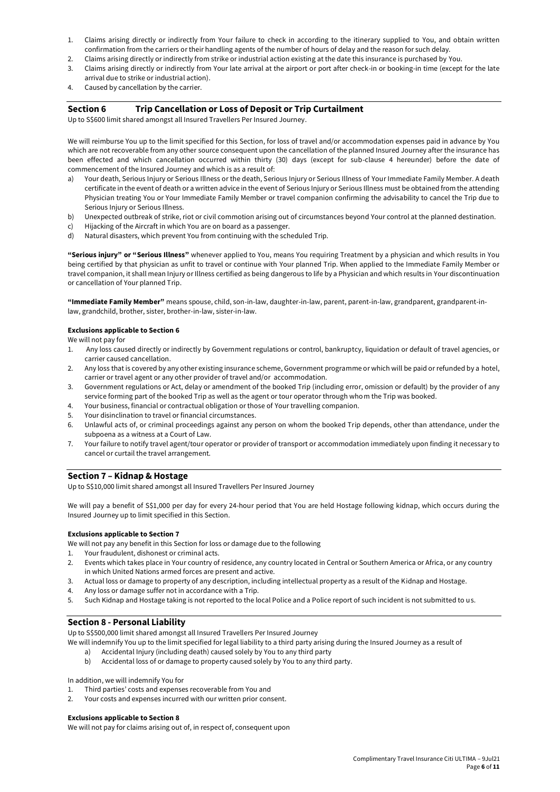- 1. Claims arising directly or indirectly from Your failure to check in according to the itinerary supplied to You, and obtain written confirmation from the carriers or their handling agents of the number of hours of delay and the reason for such delay.
- 2. Claims arising directly or indirectly from strike or industrial action existing at the date this insurance is purchased by You.
- 3. Claims arising directly or indirectly from Your late arrival at the airport or port after check-in or booking-in time (except for the late arrival due to strike or industrial action).
- 4. Caused by cancellation by the carrier.

## **Section 6 Trip Cancellation or Loss of Deposit or Trip Curtailment**

Up to S\$600 limit shared amongst all Insured Travellers Per Insured Journey.

We will reimburse You up to the limit specified for this Section, for loss of travel and/or accommodation expenses paid in advance by You which are not recoverable from any other source consequent upon the cancellation of the planned Insured Journey after the insurance has been effected and which cancellation occurred within thirty (30) days (except for sub-clause 4 hereunder) before the date of commencement of the Insured Journey and which is as a result of:

- a) Your death, Serious Injury or Serious Illness or the death, Serious Injury or Serious Illness of Your Immediate Family Member. A death certificate in the event of death or a written advice in the event of Serious Injury or Serious Illness must be obtained from the attending Physician treating You or Your Immediate Family Member or travel companion confirming the advisability to cancel the Trip due to Serious Injury or Serious Illness.
- b) Unexpected outbreak of strike, riot or civil commotion arising out of circumstances beyond Your control at the planned destination.
- c) Hijacking of the Aircraft in which You are on board as a passenger.
- d) Natural disasters, which prevent You from continuing with the scheduled Trip.

**"Serious injury" or "Serious Illness"** whenever applied to You, means You requiring Treatment by a physician and which results in You being certified by that physician as unfit to travel or continue with Your planned Trip. When applied to the Immediate Family Member or travel companion, it shall mean Injury or Illness certified as being dangerous to life by a Physician and which results in Your discontinuation or cancellation of Your planned Trip.

**"Immediate Family Member"** means spouse, child, son-in-law, daughter-in-law, parent, parent-in-law, grandparent, grandparent-inlaw, grandchild, brother, sister, brother-in-law, sister-in-law.

#### **Exclusions applicable to Section 6**

We will not pay for

- 1. Any loss caused directly or indirectly by Government regulations or control, bankruptcy, liquidation or default of travel agencies, or carrier caused cancellation.
- 2. Any loss that is covered by any other existing insurance scheme, Government programme or which will be paid or refunded by a hotel, carrier or travel agent or any other provider of travel and/or accommodation.
- 3. Government regulations or Act, delay or amendment of the booked Trip (including error, omission or default) by the provider of any service forming part of the booked Trip as well as the agent or tour operator through whom the Trip was booked.
- 4. Your business, financial or contractual obligation or those of Your travelling companion.
- 5. Your disinclination to travel or financial circumstances.
- 6. Unlawful acts of, or criminal proceedings against any person on whom the booked Trip depends, other than attendance, under the subpoena as a witness at a Court of Law.
- 7. Your failure to notify travel agent/tour operator or provider of transport or accommodation immediately upon finding it necessar y to cancel or curtail the travel arrangement.

## **Section 7 – Kidnap & Hostage**

Up to S\$10,000 limit shared amongst all Insured Travellers Per Insured Journey

We will pay a benefit of S\$1,000 per day for every 24-hour period that You are held Hostage following kidnap, which occurs during the Insured Journey up to limit specified in this Section.

#### **Exclusions applicable to Section 7**

We will not pay any benefit in this Section for loss or damage due to the following

- 1. Your fraudulent, dishonest or criminal acts.
- 2. Events which takes place in Your country of residence, any country located in Central or Southern America or Africa, or any country in which United Nations armed forces are present and active.
- 3. Actual loss or damage to property of any description, including intellectual property as a result of the Kidnap and Hostage.
- 4. Any loss or damage suffer not in accordance with a Trip.
- 5. Such Kidnap and Hostage taking is not reported to the local Police and a Police report of such incident is not submitted to us.

## **Section 8 - Personal Liability**

Up to S\$500,000 limit shared amongst all Insured Travellers Per Insured Journey

- We will indemnify You up to the limit specified for legal liability to a third party arising during the Insured Journey as a result of
	- a) Accidental Injury (including death) caused solely by You to any third party
	- b) Accidental loss of or damage to property caused solely by You to any third party.

In addition, we will indemnify You for

- 1. Third parties' costs and expenses recoverable from You and
- 2. Your costs and expenses incurred with our written prior consent.

#### **Exclusions applicable to Section 8**

We will not pay for claims arising out of, in respect of, consequent upon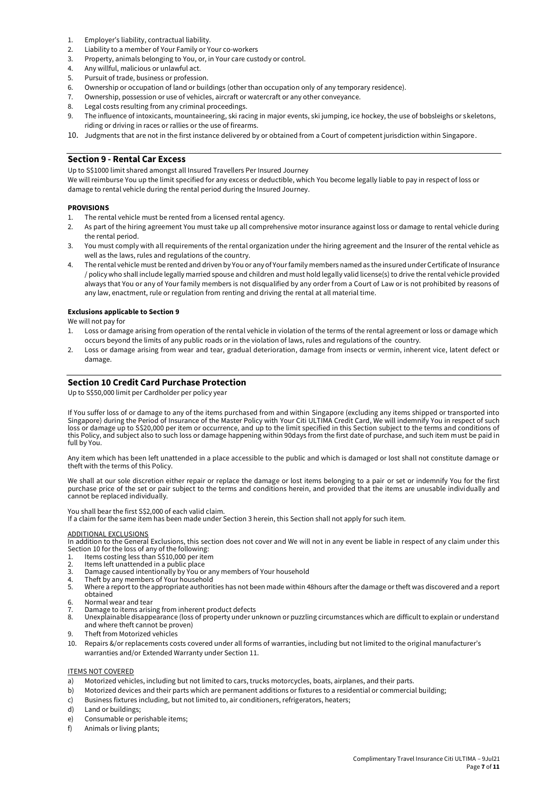- 1. Employer's liability, contractual liability.
- 2. Liability to a member of Your Family or Your co-workers
- 3. Property, animals belonging to You, or, in Your care custody or control.
- 4. Any willful, malicious or unlawful act.
- 5. Pursuit of trade, business or profession.
- 6. Ownership or occupation of land or buildings (other than occupation only of any temporary residence).
- 7. Ownership, possession or use of vehicles, aircraft or watercraft or any other conveyance.
- 8. Legal costs resulting from any criminal proceedings.
- 9. The influence of intoxicants, mountaineering, ski racing in major events, ski jumping, ice hockey, the use of bobsleighs or skeletons, riding or driving in races or rallies or the use of firearms.
- 10. Judgments that are not in the first instance delivered by or obtained from a Court of competent jurisdiction within Singapore.

## **Section 9 - Rental Car Excess**

Up to S\$1000 limit shared amongst all Insured Travellers Per Insured Journey

We will reimburse You up the limit specified for any excess or deductible, which You become legally liable to pay in respect of loss or damage to rental vehicle during the rental period during the Insured Journey.

#### **PROVISIONS**

- 1. The rental vehicle must be rented from a licensed rental agency.
- 2. As part of the hiring agreement You must take up all comprehensive motor insurance against loss or damage to rental vehicle during the rental period.
- 3. You must comply with all requirements of the rental organization under the hiring agreement and the Insurer of the rental vehicle as well as the laws, rules and regulations of the country.
- 4. The rental vehicle must be rented and driven by You or any of Your family members named as the insured under Certificate of Insurance / policy who shall include legally married spouse and children and must hold legally valid license(s) to drive the rental vehicle provided always that You or any of Your family members is not disqualified by any order from a Court of Law or is not prohibited by reasons of any law, enactment, rule or regulation from renting and driving the rental at all material time.

#### **Exclusions applicable to Section 9**

We will not pay for

- 1. Loss or damage arising from operation of the rental vehicle in violation of the terms of the rental agreement or loss or damage which occurs beyond the limits of any public roads or in the violation of laws, rules and regulations of the country.
- 2. Loss or damage arising from wear and tear, gradual deterioration, damage from insects or vermin, inherent vice, latent defect or damage.

## **Section 10 Credit Card Purchase Protection**

Up to S\$50,000 limit per Cardholder per policy year

If You suffer loss of or damage to any of the items purchased from and within Singapore (excluding any items shipped or transported into Singapore) during the Period of Insurance of the Master Policy with Your Citi ULTIMA Credit Card, We will indemnify You in respect of such loss or damage up to S\$20,000 per item or occurrence, and up to the limit specified in this Section subject to the terms and conditions of this Policy, and subject also to such loss or damage happening within 90days from the first date of purchase, and such item must be paid in full by You.

Any item which has been left unattended in a place accessible to the public and which is damaged or lost shall not constitute damage or theft with the terms of this Policy.

We shall at our sole discretion either repair or replace the damage or lost items belonging to a pair or set or indemnify You for the first purchase price of the set or pair subject to the terms and conditions herein, and provided that the items are unusable individually and cannot be replaced individually.

You shall bear the first S\$2,000 of each valid claim.

If a claim for the same item has been made under Section 3 herein, this Section shall not apply for such item.

#### ADDITIONAL EXCLUSIONS

In addition to the General Exclusions, this section does not cover and We will not in any event be liable in respect of any claim under this Section 10 for the loss of any of the following:

- Items costing less than S\$10,000 per item
- 2. Items left unattended in a public place<br>3. Damage caused intentionally by You or
- 3. Damage caused intentionally by You or any members of Your household<br>4. Theft by any members of Your household
- Theft by any members of Your household
- 5. Where a report to the appropriate authorities has not been made within 48hours after the damage or theft was discovered and a report obtained
- 6. Normal wear and tear<br>7. Damage to items arising
- 7. Damage to items arising from inherent product defects
- Unexplainable disappearance (loss of property under unknown or puzzling circumstances which are difficult to explain or understand and where theft cannot be proven)
- 9. Theft from Motorized vehicles
- 10. Repairs &/or replacements costs covered under all forms of warranties, including but not limited to the original manufacturer's warranties and/or Extended Warranty under Section 11.

#### ITEMS NOT COVERED

- a) Motorized vehicles, including but not limited to cars, trucks motorcycles, boats, airplanes, and their parts.
- b) Motorized devices and their parts which are permanent additions or fixtures to a residential or commercial building;
- c) Business fixtures including, but not limited to, air conditioners, refrigerators, heaters;
- d) Land or buildings;
- e) Consumable or perishable items;
- f) Animals or living plants;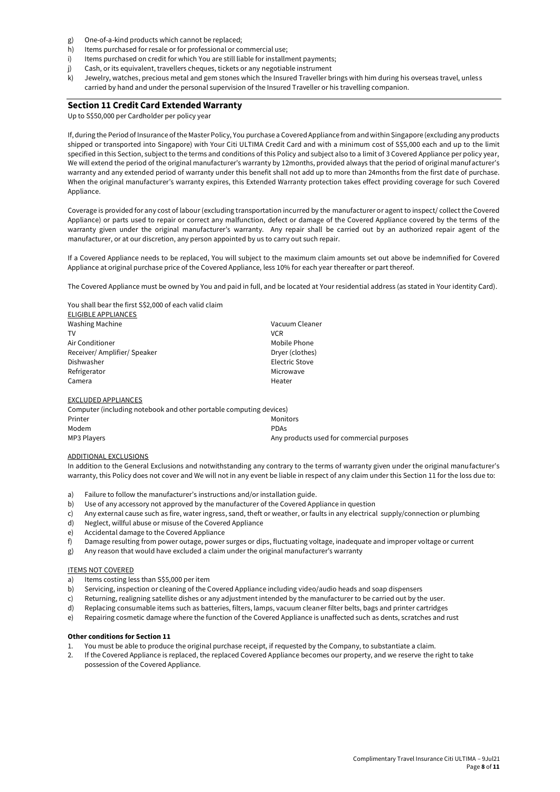- g) One-of-a-kind products which cannot be replaced;
- h) Items purchased for resale or for professional or commercial use;
- i) Items purchased on credit for which You are still liable for installment payments;
- j) Cash, or its equivalent, travellers cheques, tickets or any negotiable instrument
- k) Jewelry, watches, precious metal and gem stones which the Insured Traveller brings with him during his overseas travel, unless carried by hand and under the personal supervision of the Insured Traveller or his travelling companion.

## **Section 11 Credit Card Extended Warranty**

Up to S\$50,000 per Cardholder per policy year

If, during the Period of Insurance of the Master Policy, You purchase a Covered Appliance from and within Singapore (excluding any products shipped or transported into Singapore) with Your Citi ULTIMA Credit Card and with a minimum cost of S\$5,000 each and up to the limit specified in this Section, subject to the terms and conditions of this Policy and subject also to a limit of 3 Covered Appliance per policy year, We will extend the period of the original manufacturer's warranty by 12months, provided always that the period of original manufacturer's warranty and any extended period of warranty under this benefit shall not add up to more than 24months from the first date of purchase. When the original manufacturer's warranty expires, this Extended Warranty protection takes effect providing coverage for such Covered Appliance.

Coverage is provided for any cost of labour (excluding transportation incurred by the manufacturer or agent to inspect/ collect the Covered Appliance) or parts used to repair or correct any malfunction, defect or damage of the Covered Appliance covered by the terms of the warranty given under the original manufacturer's warranty. Any repair shall be carried out by an authorized repair agent of the manufacturer, or at our discretion, any person appointed by us to carry out such repair.

If a Covered Appliance needs to be replaced, You will subject to the maximum claim amounts set out above be indemnified for Covered Appliance at original purchase price of the Covered Appliance, less 10% for each year thereafter or part thereof.

The Covered Appliance must be owned by You and paid in full, and be located at Your residential address (as stated in Your identity Card).

You shall bear the first S\$2,000 of each valid claim

| ELIGIBLE APPLIANCES        |                       |
|----------------------------|-----------------------|
| <b>Washing Machine</b>     | Vacuum Cleaner        |
| TV                         | VCR.                  |
| Air Conditioner            | Mobile Phone          |
| Receiver/Amplifier/Speaker | Dryer (clothes)       |
| Dishwasher                 | <b>Electric Stove</b> |
| Refrigerator               | Microwave             |
| Camera                     | Heater                |
|                            |                       |
|                            |                       |

#### EXCLUDED APPLIANCES

| Computer (including notebook and other portable computing devices) |                                           |  |
|--------------------------------------------------------------------|-------------------------------------------|--|
| Printer                                                            | Monitors                                  |  |
| Modem                                                              | <b>PDAs</b>                               |  |
| MP3 Plavers                                                        | Any products used for commercial purposes |  |

## ADDITIONAL EXCLUSIONS

In addition to the General Exclusions and notwithstanding any contrary to the terms of warranty given under the original manufacturer's warranty, this Policy does not cover and We will not in any event be liable in respect of any claim under this Section 11 for the loss due to:

- a) Failure to follow the manufacturer's instructions and/or installation guide.
- b) Use of any accessory not approved by the manufacturer of the Covered Appliance in question
- c) Any external cause such as fire, water ingress, sand, theft or weather, or faults in any electrical supply/connection or plumbing
- d) Neglect, willful abuse or misuse of the Covered Appliance
- e) Accidental damage to the Covered Appliance
- f) Damage resulting from power outage, power surges or dips, fluctuating voltage, inadequate and improper voltage or current
- g) Any reason that would have excluded a claim under the original manufacturer's warranty

#### **ITEMS NOT COVERED**

- a) Items costing less than S\$5,000 per item
- b) Servicing, inspection or cleaning of the Covered Appliance including video/audio heads and soap dispensers
- c) Returning, realigning satellite dishes or any adjustment intended by the manufacturer to be carried out by the user.
- d) Replacing consumable items such as batteries, filters, lamps, vacuum cleaner filter belts, bags and printer cartridges
- e) Repairing cosmetic damage where the function of the Covered Appliance is unaffected such as dents, scratches and rust

#### **Other conditions for Section 11**

- 1. You must be able to produce the original purchase receipt, if requested by the Company, to substantiate a claim.
- 2. If the Covered Appliance is replaced, the replaced Covered Appliance becomes our property, and we reserve the right to take possession of the Covered Appliance.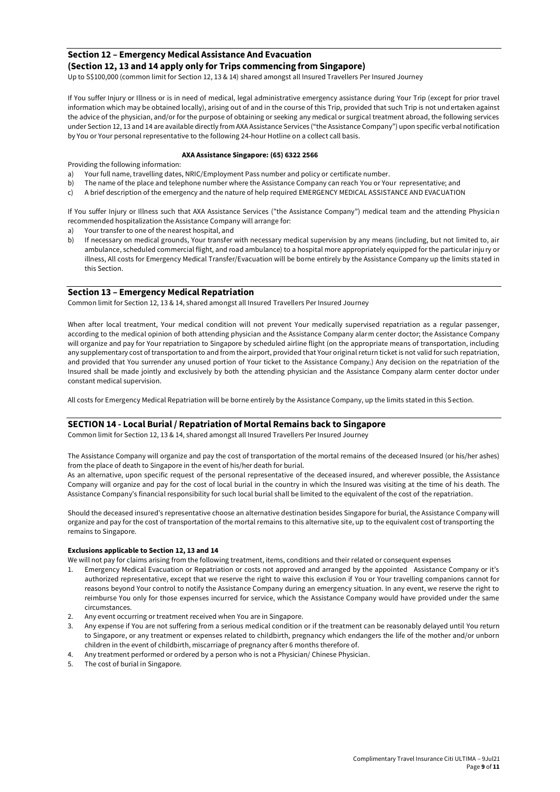## **Section 12 – Emergency Medical Assistance And Evacuation (Section 12, 13 and 14 apply only for Trips commencing from Singapore)**

Up to S\$100,000 (common limit for Section 12, 13 & 14) shared amongst all Insured Travellers Per Insured Journey

If You suffer Injury or Illness or is in need of medical, legal administrative emergency assistance during Your Trip (except for prior travel information which may be obtained locally), arising out of and in the course of this Trip, provided that such Trip is not undertaken against the advice of the physician, and/or for the purpose of obtaining or seeking any medical or surgical treatment abroad, the following services under Section 12, 13 and 14 are available directly from AXA Assistance Services ("the Assistance Company") upon specific verbal notification by You or Your personal representative to the following 24-hour Hotline on a collect call basis.

## **AXA Assistance Singapore: (65) 6322 2566**

Providing the following information:

- a) Your full name, travelling dates, NRIC/Employment Pass number and policy or certificate number.
- b) The name of the place and telephone number where the Assistance Company can reach You or Your representative; and
- c) A brief description of the emergency and the nature of help required EMERGENCY MEDICAL ASSISTANCE AND EVACUATION

If You suffer Injury or Illness such that AXA Assistance Services ("the Assistance Company") medical team and the attending Physician recommended hospitalization the Assistance Company will arrange for:

- Your transfer to one of the nearest hospital, and
- b) If necessary on medical grounds, Your transfer with necessary medical supervision by any means (including, but not limited to, air ambulance, scheduled commercial flight, and road ambulance) to a hospital more appropriately equipped for the particular injury or illness, All costs for Emergency Medical Transfer/Evacuation will be borne entirely by the Assistance Company up the limits stated in this Section.

## **Section 13 – Emergency Medical Repatriation**

Common limit for Section 12, 13 & 14, shared amongst all Insured Travellers Per Insured Journey

When after local treatment, Your medical condition will not prevent Your medically supervised repatriation as a regular passenger, according to the medical opinion of both attending physician and the Assistance Company alarm center doctor; the Assistance Company will organize and pay for Your repatriation to Singapore by scheduled airline flight (on the appropriate means of transportation, including any supplementary cost of transportation to and from the airport, provided that Your original return ticket is not valid for such repatriation, and provided that You surrender any unused portion of Your ticket to the Assistance Company.) Any decision on the repatriation of the Insured shall be made jointly and exclusively by both the attending physician and the Assistance Company alarm center doctor under constant medical supervision.

All costs for Emergency Medical Repatriation will be borne entirely by the Assistance Company, up the limits stated in this Section.

## **SECTION 14 - Local Burial / Repatriation of Mortal Remains back to Singapore**

Common limit for Section 12, 13 & 14, shared amongst all Insured Travellers Per Insured Journey

The Assistance Company will organize and pay the cost of transportation of the mortal remains of the deceased Insured (or his/her ashes) from the place of death to Singapore in the event of his/her death for burial.

As an alternative, upon specific request of the personal representative of the deceased insured, and wherever possible, the Assistance Company will organize and pay for the cost of local burial in the country in which the Insured was visiting at the time of his death. The Assistance Company's financial responsibility for such local burial shall be limited to the equivalent of the cost of the repatriation.

Should the deceased insured's representative choose an alternative destination besides Singapore for burial, the Assistance Company will organize and pay for the cost of transportation of the mortal remains to this alternative site, up to the equivalent cost of transporting the remains to Singapore.

### **Exclusions applicable to Section 12, 13 and 14**

We will not pay for claims arising from the following treatment, items, conditions and their related or consequent expenses

- 1. Emergency Medical Evacuation or Repatriation or costs not approved and arranged by the appointed Assistance Company or it's authorized representative, except that we reserve the right to waive this exclusion if You or Your travelling companions cannot for reasons beyond Your control to notify the Assistance Company during an emergency situation. In any event, we reserve the right to reimburse You only for those expenses incurred for service, which the Assistance Company would have provided under the same circumstances.
- 2. Any event occurring or treatment received when You are in Singapore.
- 3. Any expense if You are not suffering from a serious medical condition or if the treatment can be reasonably delayed until You return to Singapore, or any treatment or expenses related to childbirth, pregnancy which endangers the life of the mother and/or unborn children in the event of childbirth, miscarriage of pregnancy after 6 months therefore of.
- 4. Any treatment performed or ordered by a person who is not a Physician/ Chinese Physician.
- 5. The cost of burial in Singapore.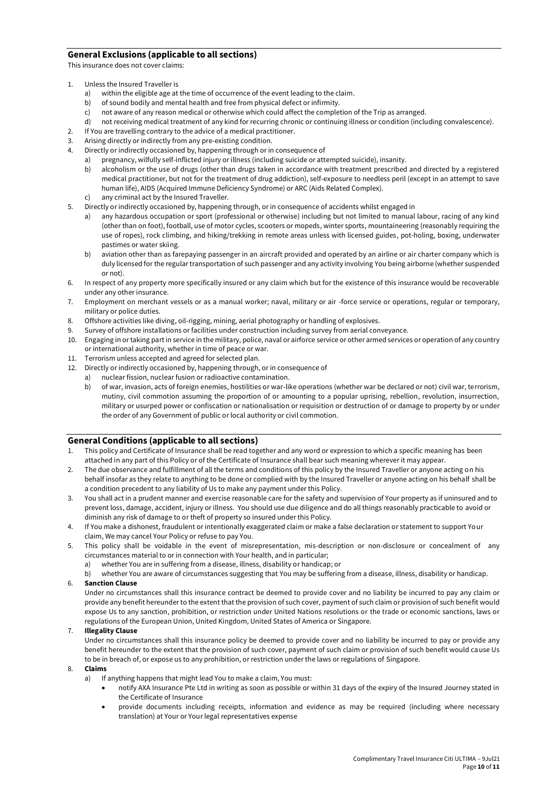## **General Exclusions (applicable to all sections)**

This insurance does not cover claims:

- 1. Unless the Insured Traveller is
	- a) within the eligible age at the time of occurrence of the event leading to the claim.
	- b) of sound bodily and mental health and free from physical defect or infirmity.
	- c) not aware of any reason medical or otherwise which could affect the completion of the Trip as arranged.
	- d) not receiving medical treatment of any kind for recurring chronic or continuing illness or condition (including convalescence).
- 2. If You are travelling contrary to the advice of a medical practitioner.
- 3. Arising directly or indirectly from any pre-existing condition.
- Directly or indirectly occasioned by, happening through or in consequence of
	- a) pregnancy, wilfully self-inflicted injury or illness (including suicide or attempted suicide), insanity.
		- b) alcoholism or the use of drugs (other than drugs taken in accordance with treatment prescribed and directed by a registered medical practitioner, but not for the treatment of drug addiction), self-exposure to needless peril (except in an attempt to save human life), AIDS (Acquired Immune Deficiency Syndrome) or ARC (Aids Related Complex).
		- c) any criminal act by the Insured Traveller.
- 5. Directly or indirectly occasioned by, happening through, or in consequence of accidents whilst engaged in
	- a) any hazardous occupation or sport (professional or otherwise) including but not limited to manual labour, racing of any kind (other than on foot), football, use of motor cycles, scooters or mopeds, winter sports, mountaineering (reasonably requiring the use of ropes), rock climbing, and hiking/trekking in remote areas unless with licensed guides, pot-holing, boxing, underwater pastimes or water skiing.
	- b) aviation other than as farepaying passenger in an aircraft provided and operated by an airline or air charter company which is duly licensed for the regular transportation of such passenger and any activity involving You being airborne (whether suspended or not).
- 6. In respect of any property more specifically insured or any claim which but for the existence of this insurance would be recoverable under any other insurance.
- 7. Employment on merchant vessels or as a manual worker; naval, military or air -force service or operations, regular or temporary, military or police duties.
- 8. Offshore activities like diving, oil-rigging, mining, aerial photography or handling of explosives.
- 9. Survey of offshore installations or facilities under construction including survey from aerial conveyance.
- 10. Engaging in or taking part in service in the military, police, naval or airforce service or other armed services or operation of any country or international authority, whether in time of peace or war.
- 11. Terrorism unless accepted and agreed for selected plan.
- 12. Directly or indirectly occasioned by, happening through, or in consequence of
	- a) nuclear fission, nuclear fusion or radioactive contamination.
	- b) of war, invasion, acts of foreign enemies, hostilities or war-like operations (whether war be declared or not) civil war, terrorism, mutiny, civil commotion assuming the proportion of or amounting to a popular uprising, rebellion, revolution, insurrection, military or usurped power or confiscation or nationalisation or requisition or destruction of or damage to property by or under the order of any Government of public or local authority or civil commotion.

## **General Conditions (applicable to all sections)**

- 1. This policy and Certificate of Insurance shall be read together and any word or expression to which a specific meaning has been attached in any part of this Policy or of the Certificate of Insurance shall bear such meaning wherever it may appear.
- 2. The due observance and fulfillment of all the terms and conditions of this policy by the Insured Traveller or anyone acting on his behalf insofar as they relate to anything to be done or complied with by the Insured Traveller or anyone acting on his behalf shall be a condition precedent to any liability of Us to make any payment under this Policy.
- 3. You shall act in a prudent manner and exercise reasonable care for the safety and supervision of Your property as if uninsured and to prevent loss, damage, accident, injury or illness. You should use due diligence and do all things reasonably practicable to avoid or diminish any risk of damage to or theft of property so insured under this Policy.
- 4. If You make a dishonest, fraudulent or intentionally exaggerated claim or make a false declaration or statement to support Your claim, We may cancel Your Policy or refuse to pay You.
- 5. This policy shall be voidable in the event of misrepresentation, mis-description or non-disclosure or concealment of any circumstances material to or in connection with Your health, and in particular;
	- a) whether You are in suffering from a disease, illness, disability or handicap; or
	- b) whether You are aware of circumstances suggesting that You may be suffering from a disease, illness, disability or handicap.

## 6. **Sanction Clause**

Under no circumstances shall this insurance contract be deemed to provide cover and no liability be incurred to pay any claim or provide any benefit hereunder to the extent that the provision of such cover, payment of such claim or provision of such benefit would expose Us to any sanction, prohibition, or restriction under United Nations resolutions or the trade or economic sanctions, laws or regulations of the European Union, United Kingdom, United States of America or Singapore.

## 7. **Illegality Clause**

Under no circumstances shall this insurance policy be deemed to provide cover and no liability be incurred to pay or provide any benefit hereunder to the extent that the provision of such cover, payment of such claim or provision of such benefit would cause Us to be in breach of, or expose us to any prohibition, or restriction under the laws or regulations of Singapore.

#### 8. **Claims**

- a) If anything happens that might lead You to make a claim, You must:
	- notify AXA Insurance Pte Ltd in writing as soon as possible or within 31 days of the expiry of the Insured Journey stated in the Certificate of Insurance
	- provide documents including receipts, information and evidence as may be required (including where necessary translation) at Your or Your legal representatives expense